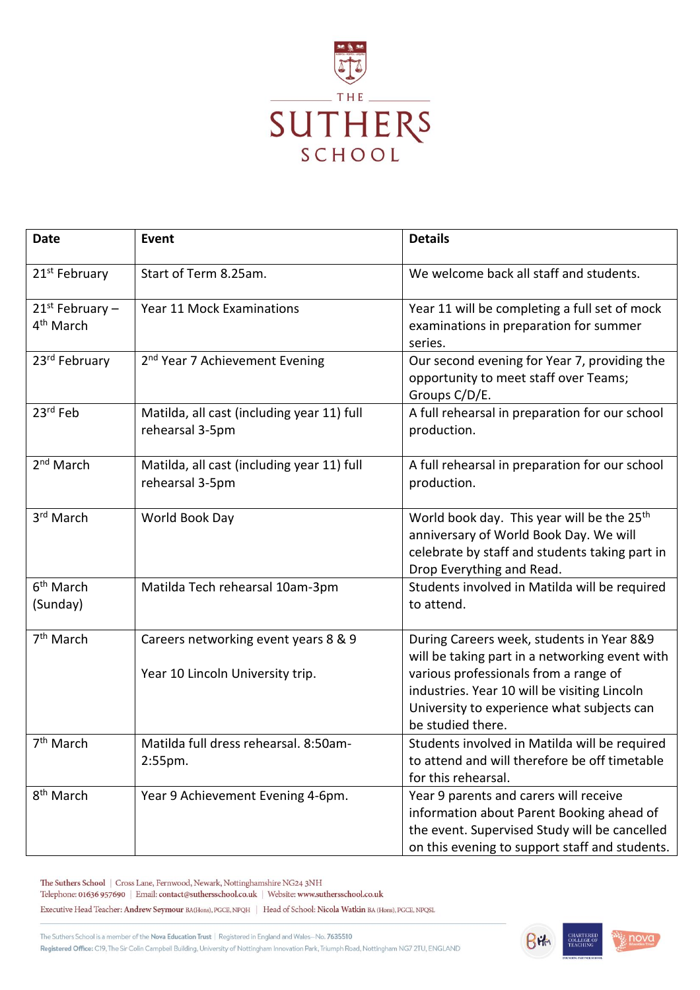

| <b>Date</b>                                   | <b>Event</b>                                                             | <b>Details</b>                                                                                                                                                                                                                                          |
|-----------------------------------------------|--------------------------------------------------------------------------|---------------------------------------------------------------------------------------------------------------------------------------------------------------------------------------------------------------------------------------------------------|
| 21 <sup>st</sup> February                     | Start of Term 8.25am.                                                    | We welcome back all staff and students.                                                                                                                                                                                                                 |
| $21^{st}$ February –<br>4 <sup>th</sup> March | <b>Year 11 Mock Examinations</b>                                         | Year 11 will be completing a full set of mock<br>examinations in preparation for summer<br>series.                                                                                                                                                      |
| 23rd February                                 | 2 <sup>nd</sup> Year 7 Achievement Evening                               | Our second evening for Year 7, providing the<br>opportunity to meet staff over Teams;<br>Groups C/D/E.                                                                                                                                                  |
| 23rd Feb                                      | Matilda, all cast (including year 11) full<br>rehearsal 3-5pm            | A full rehearsal in preparation for our school<br>production.                                                                                                                                                                                           |
| 2 <sup>nd</sup> March                         | Matilda, all cast (including year 11) full<br>rehearsal 3-5pm            | A full rehearsal in preparation for our school<br>production.                                                                                                                                                                                           |
| 3rd March                                     | World Book Day                                                           | World book day. This year will be the 25 <sup>th</sup><br>anniversary of World Book Day. We will<br>celebrate by staff and students taking part in<br>Drop Everything and Read.                                                                         |
| 6 <sup>th</sup> March<br>(Sunday)             | Matilda Tech rehearsal 10am-3pm                                          | Students involved in Matilda will be required<br>to attend.                                                                                                                                                                                             |
| 7 <sup>th</sup> March                         | Careers networking event years 8 & 9<br>Year 10 Lincoln University trip. | During Careers week, students in Year 8&9<br>will be taking part in a networking event with<br>various professionals from a range of<br>industries. Year 10 will be visiting Lincoln<br>University to experience what subjects can<br>be studied there. |
| 7 <sup>th</sup> March                         | Matilda full dress rehearsal. 8:50am-<br>2:55pm.                         | Students involved in Matilda will be required<br>to attend and will therefore be off timetable<br>for this rehearsal.                                                                                                                                   |
| 8 <sup>th</sup> March                         | Year 9 Achievement Evening 4-6pm.                                        | Year 9 parents and carers will receive<br>information about Parent Booking ahead of<br>the event. Supervised Study will be cancelled<br>on this evening to support staff and students.                                                                  |

The Suthers School | Cross Lane, Fernwood, Newark, Nottinghamshire NG24 3NH

Telephone: 01636 957690 | Email: contact@suthersschool.co.uk | Website: www.suthersschool.co.uk

Executive Head Teacher: Andrew Seymour BA(Hons), PGCE, NPQH | Head of School: Nicola Watkin BA (Hons), PGCE, NPQSL



**nova** 

The Suthers School is a member of the Nova Education Trust | Registered in England and Wales-No. 7635510 Registered Office: C19, The Sir Colin Campbell Building, University of Nottingham Innovation Park, Triumph Road, Nottingham NG7 2TU, ENGLAND